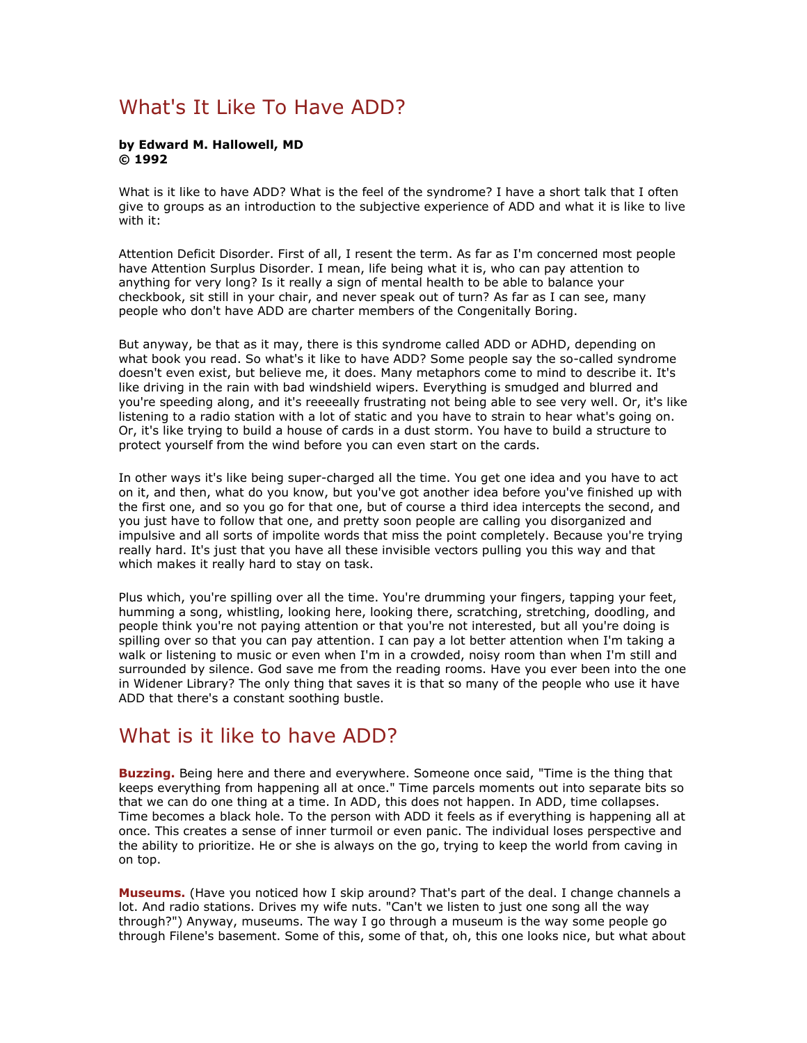## What's It Like To Have ADD?

## **by Edward M. Hallowell, MD © 1992**

What is it like to have ADD? What is the feel of the syndrome? I have a short talk that I often give to groups as an introduction to the subjective experience of ADD and what it is like to live with it:

Attention Deficit Disorder. First of all, I resent the term. As far as I'm concerned most people have Attention Surplus Disorder. I mean, life being what it is, who can pay attention to anything for very long? Is it really a sign of mental health to be able to balance your checkbook, sit still in your chair, and never speak out of turn? As far as I can see, many people who don't have ADD are charter members of the Congenitally Boring.

But anyway, be that as it may, there is this syndrome called ADD or ADHD, depending on what book you read. So what's it like to have ADD? Some people say the so-called syndrome doesn't even exist, but believe me, it does. Many metaphors come to mind to describe it. It's like driving in the rain with bad windshield wipers. Everything is smudged and blurred and you're speeding along, and it's reeeeally frustrating not being able to see very well. Or, it's like listening to a radio station with a lot of static and you have to strain to hear what's going on. Or, it's like trying to build a house of cards in a dust storm. You have to build a structure to protect yourself from the wind before you can even start on the cards.

In other ways it's like being super-charged all the time. You get one idea and you have to act on it, and then, what do you know, but you've got another idea before you've finished up with the first one, and so you go for that one, but of course a third idea intercepts the second, and you just have to follow that one, and pretty soon people are calling you disorganized and impulsive and all sorts of impolite words that miss the point completely. Because you're trying really hard. It's just that you have all these invisible vectors pulling you this way and that which makes it really hard to stay on task.

Plus which, you're spilling over all the time. You're drumming your fingers, tapping your feet, humming a song, whistling, looking here, looking there, scratching, stretching, doodling, and people think you're not paying attention or that you're not interested, but all you're doing is spilling over so that you can pay attention. I can pay a lot better attention when I'm taking a walk or listening to music or even when I'm in a crowded, noisy room than when I'm still and surrounded by silence. God save me from the reading rooms. Have you ever been into the one in Widener Library? The only thing that saves it is that so many of the people who use it have ADD that there's a constant soothing bustle.

## What is it like to have ADD?

**Buzzing.** Being here and there and everywhere. Someone once said, "Time is the thing that keeps everything from happening all at once." Time parcels moments out into separate bits so that we can do one thing at a time. In ADD, this does not happen. In ADD, time collapses. Time becomes a black hole. To the person with ADD it feels as if everything is happening all at once. This creates a sense of inner turmoil or even panic. The individual loses perspective and the ability to prioritize. He or she is always on the go, trying to keep the world from caving in on top.

**Museums.** (Have you noticed how I skip around? That's part of the deal. I change channels a lot. And radio stations. Drives my wife nuts. "Can't we listen to just one song all the way through?") Anyway, museums. The way I go through a museum is the way some people go through Filene's basement. Some of this, some of that, oh, this one looks nice, but what about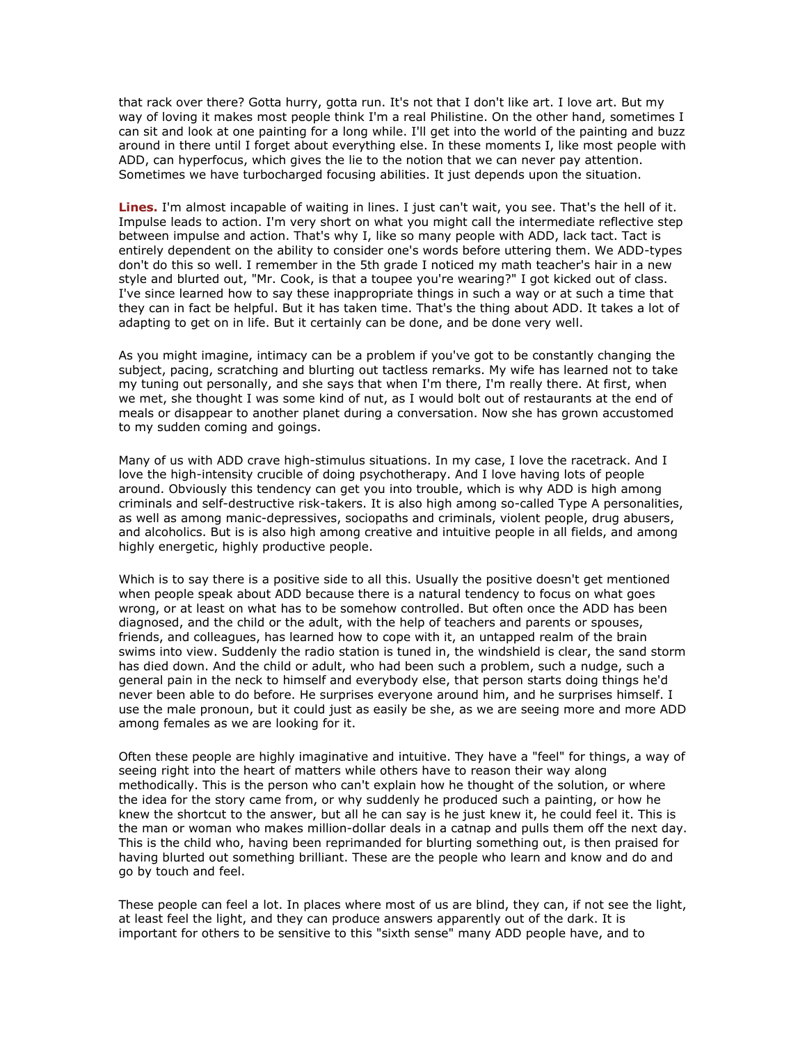that rack over there? Gotta hurry, gotta run. It's not that I don't like art. I love art. But my way of loving it makes most people think I'm a real Philistine. On the other hand, sometimes I can sit and look at one painting for a long while. I'll get into the world of the painting and buzz around in there until I forget about everything else. In these moments I, like most people with ADD, can hyperfocus, which gives the lie to the notion that we can never pay attention. Sometimes we have turbocharged focusing abilities. It just depends upon the situation.

**Lines.** I'm almost incapable of waiting in lines. I just can't wait, you see. That's the hell of it. Impulse leads to action. I'm very short on what you might call the intermediate reflective step between impulse and action. That's why I, like so many people with ADD, lack tact. Tact is entirely dependent on the ability to consider one's words before uttering them. We ADD-types don't do this so well. I remember in the 5th grade I noticed my math teacher's hair in a new style and blurted out, "Mr. Cook, is that a toupee you're wearing?" I got kicked out of class. I've since learned how to say these inappropriate things in such a way or at such a time that they can in fact be helpful. But it has taken time. That's the thing about ADD. It takes a lot of adapting to get on in life. But it certainly can be done, and be done very well.

As you might imagine, intimacy can be a problem if you've got to be constantly changing the subject, pacing, scratching and blurting out tactless remarks. My wife has learned not to take my tuning out personally, and she says that when I'm there, I'm really there. At first, when we met, she thought I was some kind of nut, as I would bolt out of restaurants at the end of meals or disappear to another planet during a conversation. Now she has grown accustomed to my sudden coming and goings.

Many of us with ADD crave high-stimulus situations. In my case, I love the racetrack. And I love the high-intensity crucible of doing psychotherapy. And I love having lots of people around. Obviously this tendency can get you into trouble, which is why ADD is high among criminals and self-destructive risk-takers. It is also high among so-called Type A personalities, as well as among manic-depressives, sociopaths and criminals, violent people, drug abusers, and alcoholics. But is is also high among creative and intuitive people in all fields, and among highly energetic, highly productive people.

Which is to say there is a positive side to all this. Usually the positive doesn't get mentioned when people speak about ADD because there is a natural tendency to focus on what goes wrong, or at least on what has to be somehow controlled. But often once the ADD has been diagnosed, and the child or the adult, with the help of teachers and parents or spouses, friends, and colleagues, has learned how to cope with it, an untapped realm of the brain swims into view. Suddenly the radio station is tuned in, the windshield is clear, the sand storm has died down. And the child or adult, who had been such a problem, such a nudge, such a general pain in the neck to himself and everybody else, that person starts doing things he'd never been able to do before. He surprises everyone around him, and he surprises himself. I use the male pronoun, but it could just as easily be she, as we are seeing more and more ADD among females as we are looking for it.

Often these people are highly imaginative and intuitive. They have a "feel" for things, a way of seeing right into the heart of matters while others have to reason their way along methodically. This is the person who can't explain how he thought of the solution, or where the idea for the story came from, or why suddenly he produced such a painting, or how he knew the shortcut to the answer, but all he can say is he just knew it, he could feel it. This is the man or woman who makes million-dollar deals in a catnap and pulls them off the next day. This is the child who, having been reprimanded for blurting something out, is then praised for having blurted out something brilliant. These are the people who learn and know and do and go by touch and feel.

These people can feel a lot. In places where most of us are blind, they can, if not see the light, at least feel the light, and they can produce answers apparently out of the dark. It is important for others to be sensitive to this "sixth sense" many ADD people have, and to